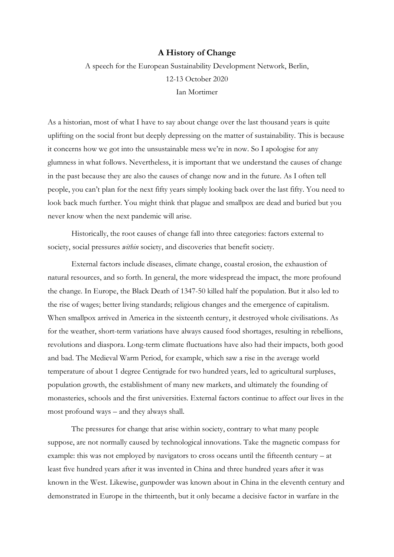## **A History of Change**

A speech for the European Sustainability Development Network, Berlin, 12-13 October 2020 Ian Mortimer

As a historian, most of what I have to say about change over the last thousand years is quite uplifting on the social front but deeply depressing on the matter of sustainability. This is because it concerns how we got into the unsustainable mess we're in now. So I apologise for any glumness in what follows. Nevertheless, it is important that we understand the causes of change in the past because they are also the causes of change now and in the future. As I often tell people, you can't plan for the next fifty years simply looking back over the last fifty. You need to look back much further. You might think that plague and smallpox are dead and buried but you never know when the next pandemic will arise.

Historically, the root causes of change fall into three categories: factors external to society, social pressures *within* society, and discoveries that benefit society.

External factors include diseases, climate change, coastal erosion, the exhaustion of natural resources, and so forth. In general, the more widespread the impact, the more profound the change. In Europe, the Black Death of 1347-50 killed half the population. But it also led to the rise of wages; better living standards; religious changes and the emergence of capitalism. When smallpox arrived in America in the sixteenth century, it destroyed whole civilisations. As for the weather, short-term variations have always caused food shortages, resulting in rebellions, revolutions and diaspora. Long-term climate fluctuations have also had their impacts, both good and bad. The Medieval Warm Period, for example, which saw a rise in the average world temperature of about 1 degree Centigrade for two hundred years, led to agricultural surpluses, population growth, the establishment of many new markets, and ultimately the founding of monasteries, schools and the first universities. External factors continue to affect our lives in the most profound ways – and they always shall.

The pressures for change that arise within society, contrary to what many people suppose, are not normally caused by technological innovations. Take the magnetic compass for example: this was not employed by navigators to cross oceans until the fifteenth century – at least five hundred years after it was invented in China and three hundred years after it was known in the West. Likewise, gunpowder was known about in China in the eleventh century and demonstrated in Europe in the thirteenth, but it only became a decisive factor in warfare in the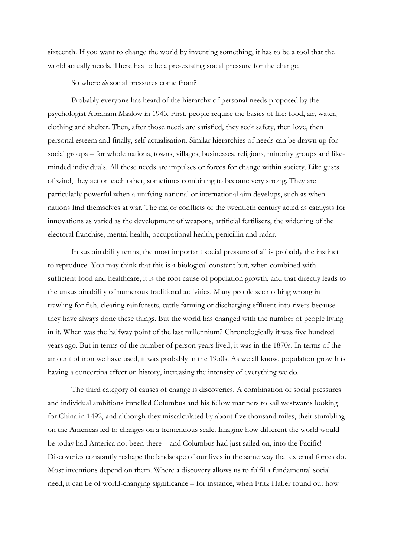sixteenth. If you want to change the world by inventing something, it has to be a tool that the world actually needs. There has to be a pre-existing social pressure for the change.

So where *do* social pressures come from?

Probably everyone has heard of the hierarchy of personal needs proposed by the psychologist Abraham Maslow in 1943. First, people require the basics of life: food, air, water, clothing and shelter. Then, after those needs are satisfied, they seek safety, then love, then personal esteem and finally, self-actualisation. Similar hierarchies of needs can be drawn up for social groups – for whole nations, towns, villages, businesses, religions, minority groups and likeminded individuals. All these needs are impulses or forces for change within society. Like gusts of wind, they act on each other, sometimes combining to become very strong. They are particularly powerful when a unifying national or international aim develops, such as when nations find themselves at war. The major conflicts of the twentieth century acted as catalysts for innovations as varied as the development of weapons, artificial fertilisers, the widening of the electoral franchise, mental health, occupational health, penicillin and radar.

In sustainability terms, the most important social pressure of all is probably the instinct to reproduce. You may think that this is a biological constant but, when combined with sufficient food and healthcare, it is the root cause of population growth, and that directly leads to the unsustainability of numerous traditional activities. Many people see nothing wrong in trawling for fish, clearing rainforests, cattle farming or discharging effluent into rivers because they have always done these things. But the world has changed with the number of people living in it. When was the halfway point of the last millennium? Chronologically it was five hundred years ago. But in terms of the number of person-years lived, it was in the 1870s. In terms of the amount of iron we have used, it was probably in the 1950s. As we all know, population growth is having a concertina effect on history, increasing the intensity of everything we do.

The third category of causes of change is discoveries. A combination of social pressures and individual ambitions impelled Columbus and his fellow mariners to sail westwards looking for China in 1492, and although they miscalculated by about five thousand miles, their stumbling on the Americas led to changes on a tremendous scale. Imagine how different the world would be today had America not been there – and Columbus had just sailed on, into the Pacific! Discoveries constantly reshape the landscape of our lives in the same way that external forces do. Most inventions depend on them. Where a discovery allows us to fulfil a fundamental social need, it can be of world-changing significance – for instance, when Fritz Haber found out how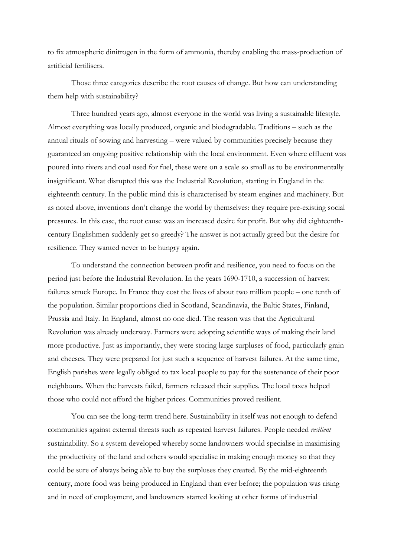to fix atmospheric dinitrogen in the form of ammonia, thereby enabling the mass-production of artificial fertilisers.

Those three categories describe the root causes of change. But how can understanding them help with sustainability?

Three hundred years ago, almost everyone in the world was living a sustainable lifestyle. Almost everything was locally produced, organic and biodegradable. Traditions – such as the annual rituals of sowing and harvesting – were valued by communities precisely because they guaranteed an ongoing positive relationship with the local environment. Even where effluent was poured into rivers and coal used for fuel, these were on a scale so small as to be environmentally insignificant. What disrupted this was the Industrial Revolution, starting in England in the eighteenth century. In the public mind this is characterised by steam engines and machinery. But as noted above, inventions don't change the world by themselves: they require pre-existing social pressures. In this case, the root cause was an increased desire for profit. But why did eighteenthcentury Englishmen suddenly get so greedy? The answer is not actually greed but the desire for resilience. They wanted never to be hungry again.

To understand the connection between profit and resilience, you need to focus on the period just before the Industrial Revolution. In the years 1690-1710, a succession of harvest failures struck Europe. In France they cost the lives of about two million people – one tenth of the population. Similar proportions died in Scotland, Scandinavia, the Baltic States, Finland, Prussia and Italy. In England, almost no one died. The reason was that the Agricultural Revolution was already underway. Farmers were adopting scientific ways of making their land more productive. Just as importantly, they were storing large surpluses of food, particularly grain and cheeses. They were prepared for just such a sequence of harvest failures. At the same time, English parishes were legally obliged to tax local people to pay for the sustenance of their poor neighbours. When the harvests failed, farmers released their supplies. The local taxes helped those who could not afford the higher prices. Communities proved resilient.

You can see the long-term trend here. Sustainability in itself was not enough to defend communities against external threats such as repeated harvest failures. People needed *resilient*  sustainability. So a system developed whereby some landowners would specialise in maximising the productivity of the land and others would specialise in making enough money so that they could be sure of always being able to buy the surpluses they created. By the mid-eighteenth century, more food was being produced in England than ever before; the population was rising and in need of employment, and landowners started looking at other forms of industrial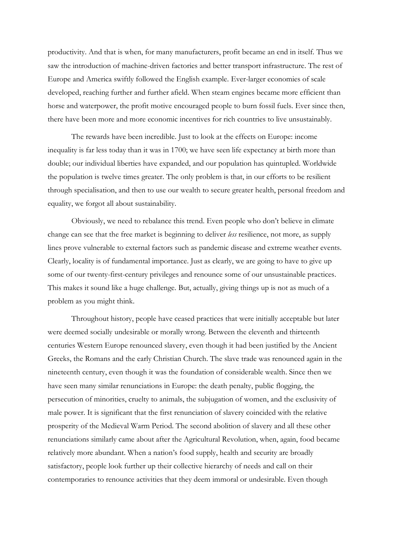productivity. And that is when, for many manufacturers, profit became an end in itself. Thus we saw the introduction of machine-driven factories and better transport infrastructure. The rest of Europe and America swiftly followed the English example. Ever-larger economies of scale developed, reaching further and further afield. When steam engines became more efficient than horse and waterpower, the profit motive encouraged people to burn fossil fuels. Ever since then, there have been more and more economic incentives for rich countries to live unsustainably.

The rewards have been incredible. Just to look at the effects on Europe: income inequality is far less today than it was in 1700; we have seen life expectancy at birth more than double; our individual liberties have expanded, and our population has quintupled. Worldwide the population is twelve times greater. The only problem is that, in our efforts to be resilient through specialisation, and then to use our wealth to secure greater health, personal freedom and equality, we forgot all about sustainability.

Obviously, we need to rebalance this trend. Even people who don't believe in climate change can see that the free market is beginning to deliver *less* resilience, not more, as supply lines prove vulnerable to external factors such as pandemic disease and extreme weather events. Clearly, locality is of fundamental importance. Just as clearly, we are going to have to give up some of our twenty-first-century privileges and renounce some of our unsustainable practices. This makes it sound like a huge challenge. But, actually, giving things up is not as much of a problem as you might think.

Throughout history, people have ceased practices that were initially acceptable but later were deemed socially undesirable or morally wrong. Between the eleventh and thirteenth centuries Western Europe renounced slavery, even though it had been justified by the Ancient Greeks, the Romans and the early Christian Church. The slave trade was renounced again in the nineteenth century, even though it was the foundation of considerable wealth. Since then we have seen many similar renunciations in Europe: the death penalty, public flogging, the persecution of minorities, cruelty to animals, the subjugation of women, and the exclusivity of male power. It is significant that the first renunciation of slavery coincided with the relative prosperity of the Medieval Warm Period. The second abolition of slavery and all these other renunciations similarly came about after the Agricultural Revolution, when, again, food became relatively more abundant. When a nation's food supply, health and security are broadly satisfactory, people look further up their collective hierarchy of needs and call on their contemporaries to renounce activities that they deem immoral or undesirable. Even though